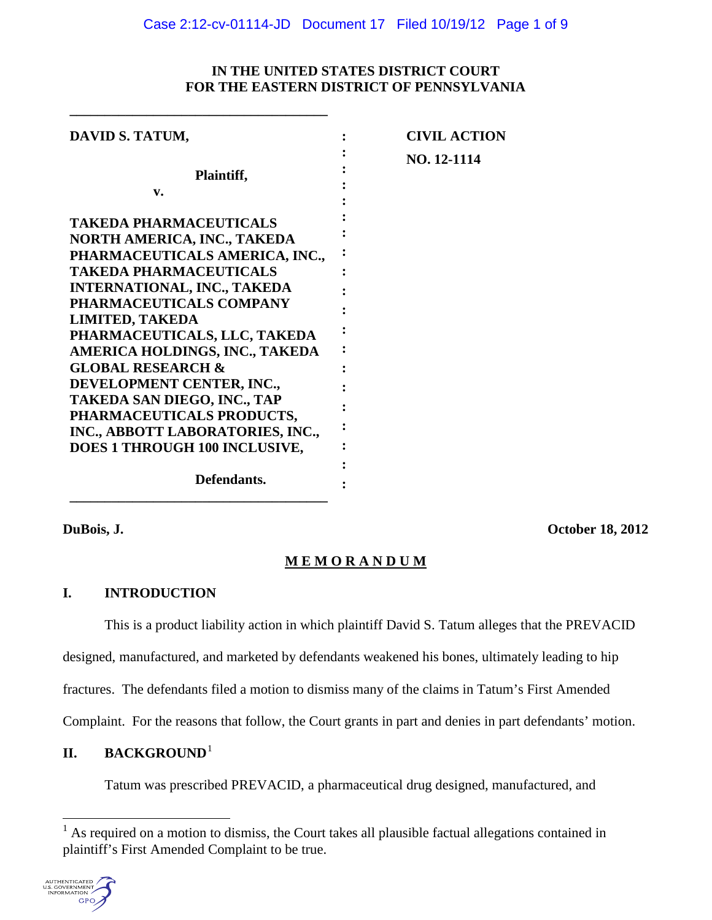# **IN THE UNITED STATES DISTRICT COURT FOR THE EASTERN DISTRICT OF PENNSYLVANIA**

| <b>CIVIL ACTION</b> |
|---------------------|
| NO. 12-1114         |
|                     |
|                     |
|                     |

**\_\_\_\_\_\_\_\_\_\_\_\_\_\_\_\_\_\_\_\_\_\_\_\_\_\_\_\_\_\_\_\_\_\_\_\_\_**

**DuBois, J. October 18, 2012**

# **M E M O R A N D U M**

# **I. INTRODUCTION**

This is a product liability action in which plaintiff David S. Tatum alleges that the PREVACID designed, manufactured, and marketed by defendants weakened his bones, ultimately leading to hip fractures. The defendants filed a motion to dismiss many of the claims in Tatum's First Amended Complaint. For the reasons that follow, the Court grants in part and denies in part defendants' motion.

# **II. BACKGROUND**[1](#page-0-0)

Tatum was prescribed PREVACID, a pharmaceutical drug designed, manufactured, and

<span id="page-0-0"></span>As required on a motion to dismiss, the Court takes all plausible factual allegations contained in plaintiff's First Amended Complaint to be true.

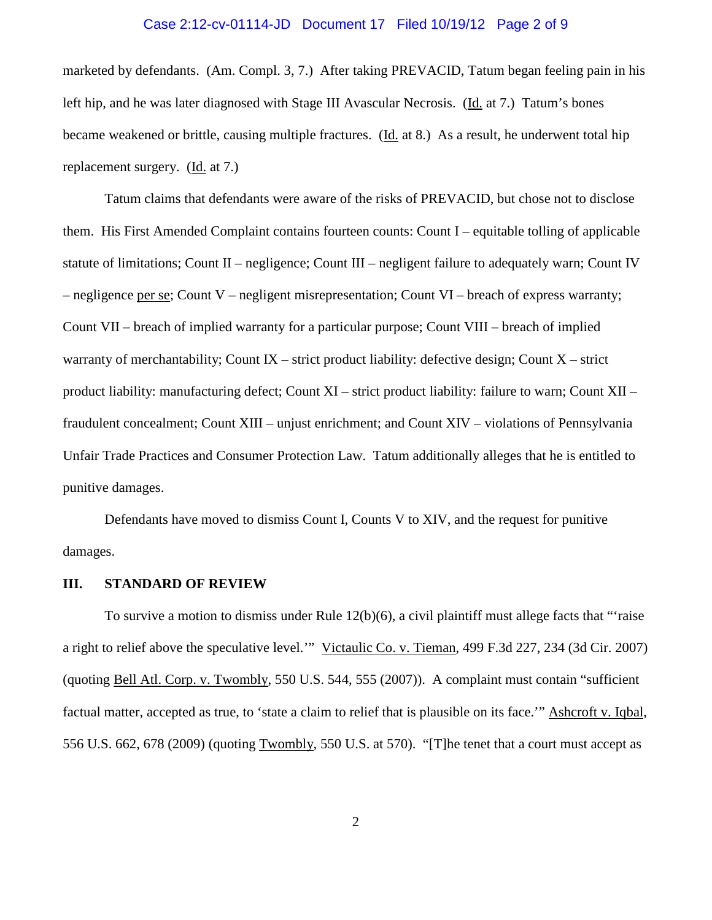### Case 2:12-cv-01114-JD Document 17 Filed 10/19/12 Page 2 of 9

marketed by defendants. (Am. Compl. 3, 7.) After taking PREVACID, Tatum began feeling pain in his left hip, and he was later diagnosed with Stage III Avascular Necrosis. (Id. at 7.) Tatum's bones became weakened or brittle, causing multiple fractures. (Id. at 8.) As a result, he underwent total hip replacement surgery. (Id. at 7.)

Tatum claims that defendants were aware of the risks of PREVACID, but chose not to disclose them. His First Amended Complaint contains fourteen counts: Count I – equitable tolling of applicable statute of limitations; Count II – negligence; Count III – negligent failure to adequately warn; Count IV – negligence per se; Count V – negligent misrepresentation; Count VI – breach of express warranty; Count VII – breach of implied warranty for a particular purpose; Count VIII – breach of implied warranty of merchantability; Count IX – strict product liability: defective design; Count  $X$  – strict product liability: manufacturing defect; Count XI – strict product liability: failure to warn; Count XII – fraudulent concealment; Count XIII – unjust enrichment; and Count XIV – violations of Pennsylvania Unfair Trade Practices and Consumer Protection Law. Tatum additionally alleges that he is entitled to punitive damages.

Defendants have moved to dismiss Count I, Counts V to XIV, and the request for punitive damages.

## **III. STANDARD OF REVIEW**

To survive a motion to dismiss under Rule 12(b)(6), a civil plaintiff must allege facts that "'raise a right to relief above the speculative level.'" Victaulic Co. v. Tieman, 499 F.3d 227, 234 (3d Cir. 2007) (quoting Bell Atl. Corp. v. Twombly, 550 U.S. 544, 555 (2007)). A complaint must contain "sufficient factual matter, accepted as true, to 'state a claim to relief that is plausible on its face.'" Ashcroft v. Iqbal, 556 U.S. 662, 678 (2009) (quoting Twombly, 550 U.S. at 570). "[T]he tenet that a court must accept as

2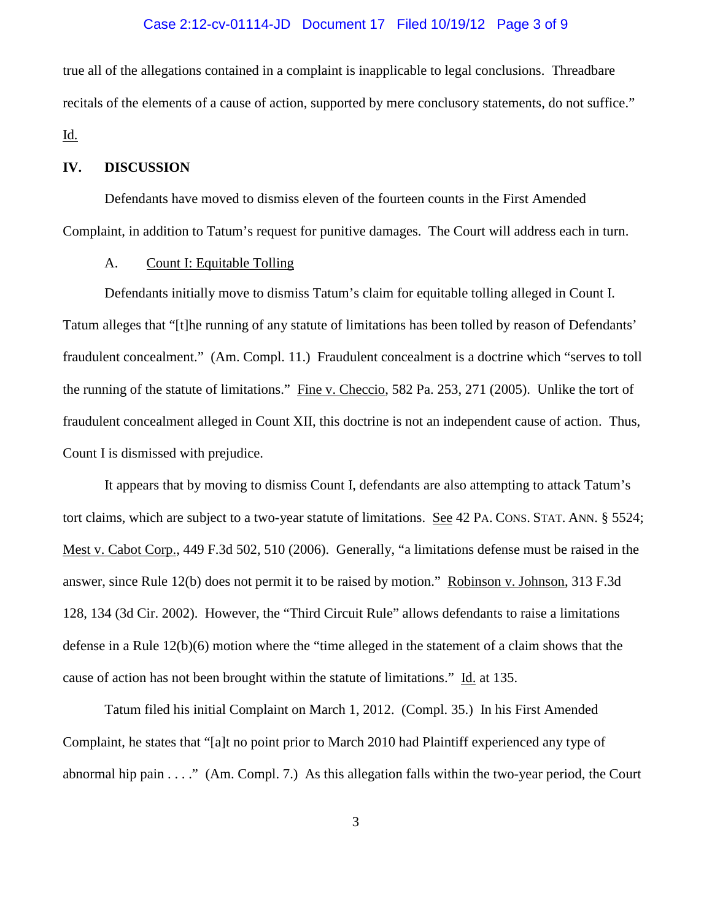### Case 2:12-cv-01114-JD Document 17 Filed 10/19/12 Page 3 of 9

true all of the allegations contained in a complaint is inapplicable to legal conclusions. Threadbare recitals of the elements of a cause of action, supported by mere conclusory statements, do not suffice." Id.

## **IV. DISCUSSION**

Defendants have moved to dismiss eleven of the fourteen counts in the First Amended Complaint, in addition to Tatum's request for punitive damages. The Court will address each in turn.

#### A. Count I: Equitable Tolling

Defendants initially move to dismiss Tatum's claim for equitable tolling alleged in Count I. Tatum alleges that "[t]he running of any statute of limitations has been tolled by reason of Defendants' fraudulent concealment." (Am. Compl. 11.) Fraudulent concealment is a doctrine which "serves to toll the running of the statute of limitations." Fine v. Checcio, 582 Pa. 253, 271 (2005). Unlike the tort of fraudulent concealment alleged in Count XII, this doctrine is not an independent cause of action. Thus, Count I is dismissed with prejudice.

It appears that by moving to dismiss Count I, defendants are also attempting to attack Tatum's tort claims, which are subject to a two-year statute of limitations. See 42 PA. CONS. STAT. ANN. § 5524; Mest v. Cabot Corp., 449 F.3d 502, 510 (2006). Generally, "a limitations defense must be raised in the answer, since Rule 12(b) does not permit it to be raised by motion." Robinson v. Johnson, 313 F.3d 128, 134 (3d Cir. 2002). However, the "Third Circuit Rule" allows defendants to raise a limitations defense in a Rule 12(b)(6) motion where the "time alleged in the statement of a claim shows that the cause of action has not been brought within the statute of limitations." Id. at 135.

Tatum filed his initial Complaint on March 1, 2012. (Compl. 35.) In his First Amended Complaint, he states that "[a]t no point prior to March 2010 had Plaintiff experienced any type of abnormal hip pain . . . ." (Am. Compl. 7.) As this allegation falls within the two-year period, the Court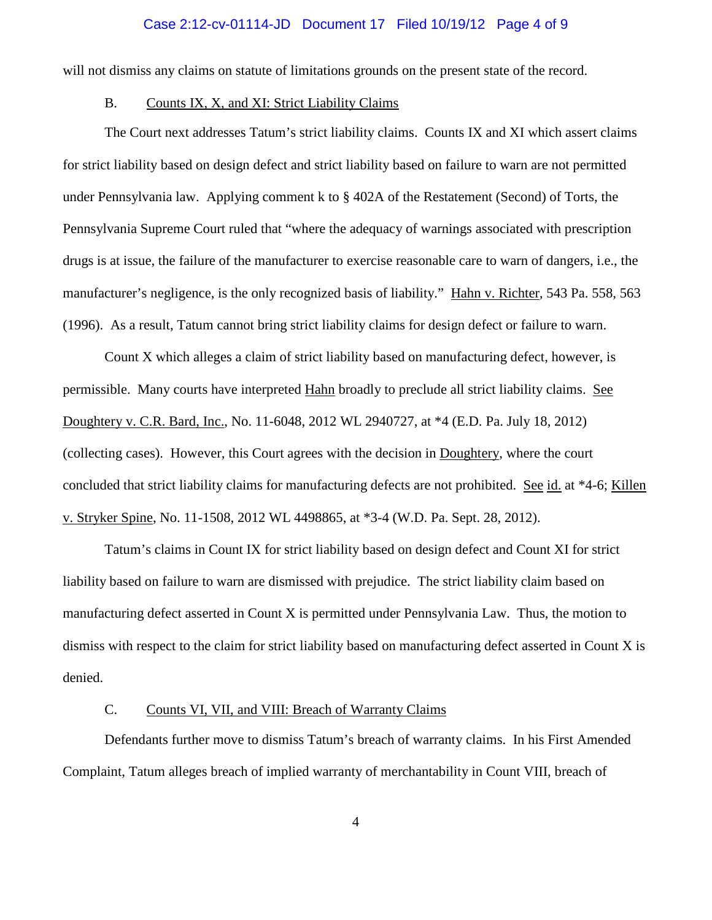#### Case 2:12-cv-01114-JD Document 17 Filed 10/19/12 Page 4 of 9

will not dismiss any claims on statute of limitations grounds on the present state of the record.

## B. Counts IX, X, and XI: Strict Liability Claims

The Court next addresses Tatum's strict liability claims. Counts IX and XI which assert claims for strict liability based on design defect and strict liability based on failure to warn are not permitted under Pennsylvania law. Applying comment k to § 402A of the Restatement (Second) of Torts, the Pennsylvania Supreme Court ruled that "where the adequacy of warnings associated with prescription drugs is at issue, the failure of the manufacturer to exercise reasonable care to warn of dangers, i.e., the manufacturer's negligence, is the only recognized basis of liability." Hahn v. Richter, 543 Pa. 558, 563 (1996). As a result, Tatum cannot bring strict liability claims for design defect or failure to warn.

Count X which alleges a claim of strict liability based on manufacturing defect, however, is permissible. Many courts have interpreted Hahn broadly to preclude all strict liability claims. See Doughtery v. C.R. Bard, Inc., No. 11-6048, 2012 WL 2940727, at \*4 (E.D. Pa. July 18, 2012) (collecting cases). However, this Court agrees with the decision in Doughtery, where the court concluded that strict liability claims for manufacturing defects are not prohibited. See id. at \*4-6; Killen v. Stryker Spine, No. 11-1508, 2012 WL 4498865, at \*3-4 (W.D. Pa. Sept. 28, 2012).

Tatum's claims in Count IX for strict liability based on design defect and Count XI for strict liability based on failure to warn are dismissed with prejudice. The strict liability claim based on manufacturing defect asserted in Count X is permitted under Pennsylvania Law. Thus, the motion to dismiss with respect to the claim for strict liability based on manufacturing defect asserted in Count X is denied.

## C. Counts VI, VII, and VIII: Breach of Warranty Claims

Defendants further move to dismiss Tatum's breach of warranty claims. In his First Amended Complaint, Tatum alleges breach of implied warranty of merchantability in Count VIII, breach of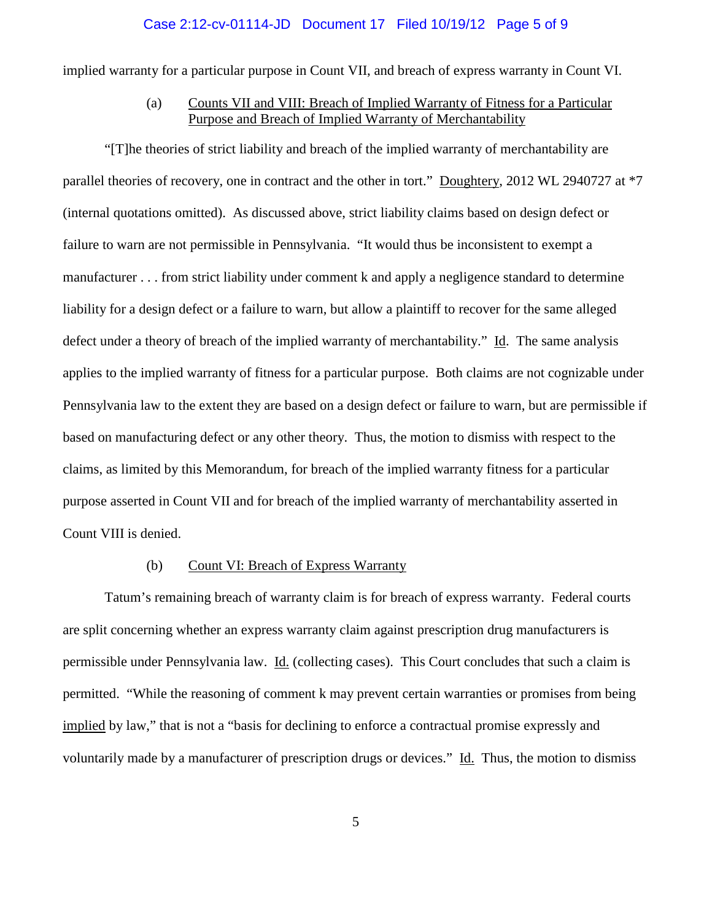#### Case 2:12-cv-01114-JD Document 17 Filed 10/19/12 Page 5 of 9

implied warranty for a particular purpose in Count VII, and breach of express warranty in Count VI.

# (a) Counts VII and VIII: Breach of Implied Warranty of Fitness for a Particular Purpose and Breach of Implied Warranty of Merchantability

"[T]he theories of strict liability and breach of the implied warranty of merchantability are parallel theories of recovery, one in contract and the other in tort." Doughtery, 2012 WL 2940727 at \*7 (internal quotations omitted). As discussed above, strict liability claims based on design defect or failure to warn are not permissible in Pennsylvania. "It would thus be inconsistent to exempt a manufacturer . . . from strict liability under comment k and apply a negligence standard to determine liability for a design defect or a failure to warn, but allow a plaintiff to recover for the same alleged defect under a theory of breach of the implied warranty of merchantability." Id. The same analysis applies to the implied warranty of fitness for a particular purpose. Both claims are not cognizable under Pennsylvania law to the extent they are based on a design defect or failure to warn, but are permissible if based on manufacturing defect or any other theory. Thus, the motion to dismiss with respect to the claims, as limited by this Memorandum, for breach of the implied warranty fitness for a particular purpose asserted in Count VII and for breach of the implied warranty of merchantability asserted in Count VIII is denied.

## (b) Count VI: Breach of Express Warranty

Tatum's remaining breach of warranty claim is for breach of express warranty. Federal courts are split concerning whether an express warranty claim against prescription drug manufacturers is permissible under Pennsylvania law. Id. (collecting cases). This Court concludes that such a claim is permitted. "While the reasoning of comment k may prevent certain warranties or promises from being implied by law," that is not a "basis for declining to enforce a contractual promise expressly and voluntarily made by a manufacturer of prescription drugs or devices." Id. Thus, the motion to dismiss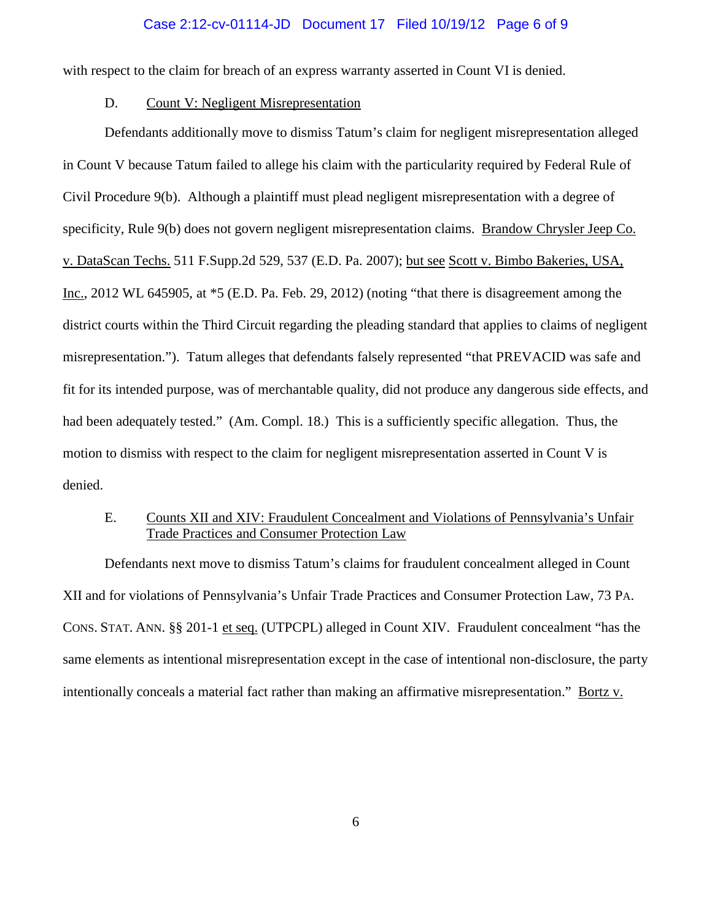#### Case 2:12-cv-01114-JD Document 17 Filed 10/19/12 Page 6 of 9

with respect to the claim for breach of an express warranty asserted in Count VI is denied.

## D. Count V: Negligent Misrepresentation

Defendants additionally move to dismiss Tatum's claim for negligent misrepresentation alleged in Count V because Tatum failed to allege his claim with the particularity required by Federal Rule of Civil Procedure 9(b). Although a plaintiff must plead negligent misrepresentation with a degree of specificity, Rule 9(b) does not govern negligent misrepresentation claims. Brandow Chrysler Jeep Co. v. DataScan Techs. 511 F.Supp.2d 529, 537 (E.D. Pa. 2007); but see Scott v. Bimbo Bakeries, USA, Inc., 2012 WL 645905, at \*5 (E.D. Pa. Feb. 29, 2012) (noting "that there is disagreement among the district courts within the Third Circuit regarding the pleading standard that applies to claims of negligent misrepresentation."). Tatum alleges that defendants falsely represented "that PREVACID was safe and fit for its intended purpose, was of merchantable quality, did not produce any dangerous side effects, and had been adequately tested." (Am. Compl. 18.) This is a sufficiently specific allegation. Thus, the motion to dismiss with respect to the claim for negligent misrepresentation asserted in Count V is denied.

# E. Counts XII and XIV: Fraudulent Concealment and Violations of Pennsylvania's Unfair Trade Practices and Consumer Protection Law

Defendants next move to dismiss Tatum's claims for fraudulent concealment alleged in Count XII and for violations of Pennsylvania's Unfair Trade Practices and Consumer Protection Law, 73 PA. CONS. STAT. ANN. §§ 201-1 et seq. (UTPCPL) alleged in Count XIV. Fraudulent concealment "has the same elements as intentional misrepresentation except in the case of intentional non-disclosure, the party intentionally conceals a material fact rather than making an affirmative misrepresentation." Bortz v.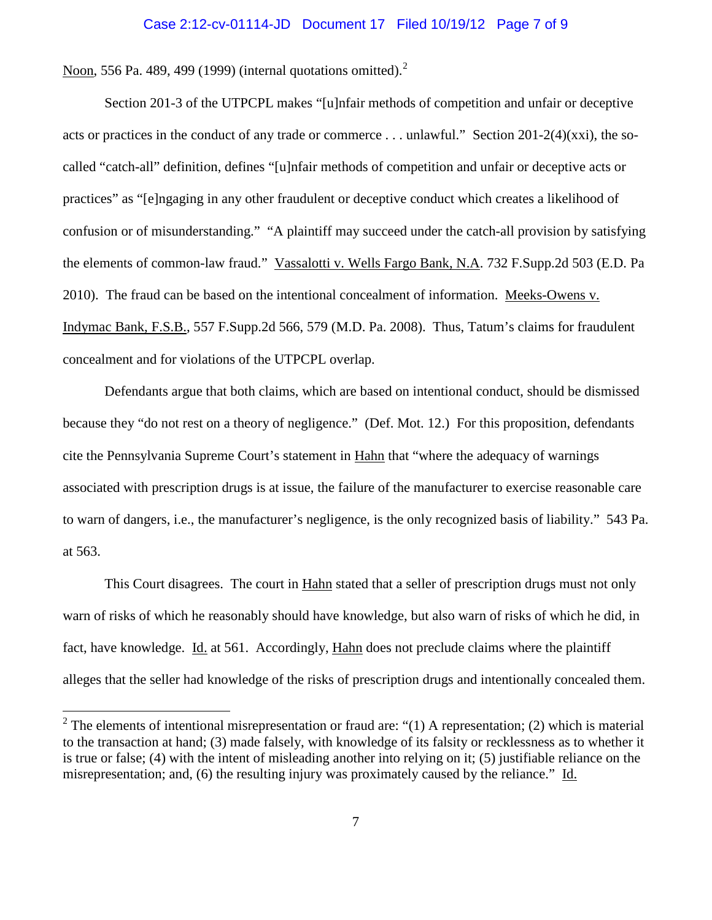#### Case 2:12-cv-01114-JD Document 17 Filed 10/19/12 Page 7 of 9

Noon, 556 Pa. 489, 499 (1999) (internal quotations omitted). $2$ 

Section 201-3 of the UTPCPL makes "[u]nfair methods of competition and unfair or deceptive acts or practices in the conduct of any trade or commerce . . . unlawful." Section 201-2(4)(xxi), the socalled "catch-all" definition, defines "[u]nfair methods of competition and unfair or deceptive acts or practices" as "[e]ngaging in any other fraudulent or deceptive conduct which creates a likelihood of confusion or of misunderstanding." "A plaintiff may succeed under the catch-all provision by satisfying the elements of common-law fraud." Vassalotti v. Wells Fargo Bank, N.A. 732 F.Supp.2d 503 (E.D. Pa 2010). The fraud can be based on the intentional concealment of information. Meeks-Owens v. Indymac Bank, F.S.B., 557 F.Supp.2d 566, 579 (M.D. Pa. 2008). Thus, Tatum's claims for fraudulent concealment and for violations of the UTPCPL overlap.

Defendants argue that both claims, which are based on intentional conduct, should be dismissed because they "do not rest on a theory of negligence." (Def. Mot. 12.) For this proposition, defendants cite the Pennsylvania Supreme Court's statement in Hahn that "where the adequacy of warnings associated with prescription drugs is at issue, the failure of the manufacturer to exercise reasonable care to warn of dangers, i.e., the manufacturer's negligence, is the only recognized basis of liability." 543 Pa. at 563.

This Court disagrees. The court in Hahn stated that a seller of prescription drugs must not only warn of risks of which he reasonably should have knowledge, but also warn of risks of which he did, in fact, have knowledge. Id. at 561. Accordingly, Hahn does not preclude claims where the plaintiff alleges that the seller had knowledge of the risks of prescription drugs and intentionally concealed them.

<span id="page-6-0"></span><sup>&</sup>lt;sup>2</sup> The elements of intentional misrepresentation or fraud are: "(1) A representation; (2) which is material to the transaction at hand; (3) made falsely, with knowledge of its falsity or recklessness as to whether it is true or false; (4) with the intent of misleading another into relying on it; (5) justifiable reliance on the misrepresentation; and, (6) the resulting injury was proximately caused by the reliance." Id.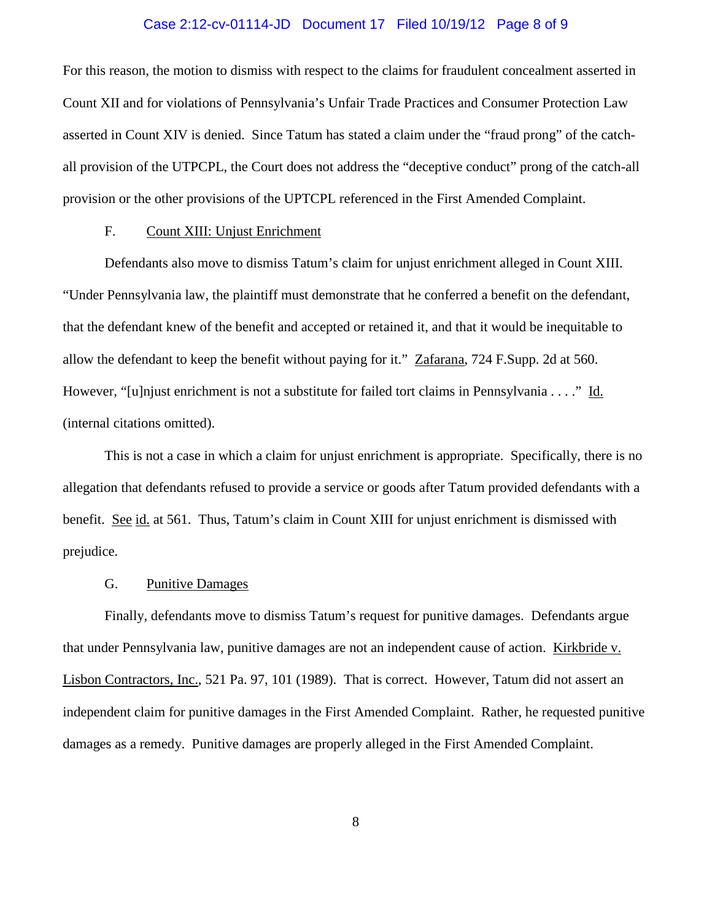### Case 2:12-cv-01114-JD Document 17 Filed 10/19/12 Page 8 of 9

For this reason, the motion to dismiss with respect to the claims for fraudulent concealment asserted in Count XII and for violations of Pennsylvania's Unfair Trade Practices and Consumer Protection Law asserted in Count XIV is denied. Since Tatum has stated a claim under the "fraud prong" of the catchall provision of the UTPCPL, the Court does not address the "deceptive conduct" prong of the catch-all provision or the other provisions of the UPTCPL referenced in the First Amended Complaint.

## F. Count XIII: Unjust Enrichment

Defendants also move to dismiss Tatum's claim for unjust enrichment alleged in Count XIII. "Under Pennsylvania law, the plaintiff must demonstrate that he conferred a benefit on the defendant, that the defendant knew of the benefit and accepted or retained it, and that it would be inequitable to allow the defendant to keep the benefit without paying for it." Zafarana, 724 F.Supp. 2d at 560. However, "[u]njust enrichment is not a substitute for failed tort claims in Pennsylvania . . . ." Id. (internal citations omitted).

This is not a case in which a claim for unjust enrichment is appropriate. Specifically, there is no allegation that defendants refused to provide a service or goods after Tatum provided defendants with a benefit. See id. at 561. Thus, Tatum's claim in Count XIII for unjust enrichment is dismissed with prejudice.

### G. Punitive Damages

Finally, defendants move to dismiss Tatum's request for punitive damages. Defendants argue that under Pennsylvania law, punitive damages are not an independent cause of action. Kirkbride v. Lisbon Contractors, Inc., 521 Pa. 97, 101 (1989). That is correct. However, Tatum did not assert an independent claim for punitive damages in the First Amended Complaint. Rather, he requested punitive damages as a remedy. Punitive damages are properly alleged in the First Amended Complaint.

8